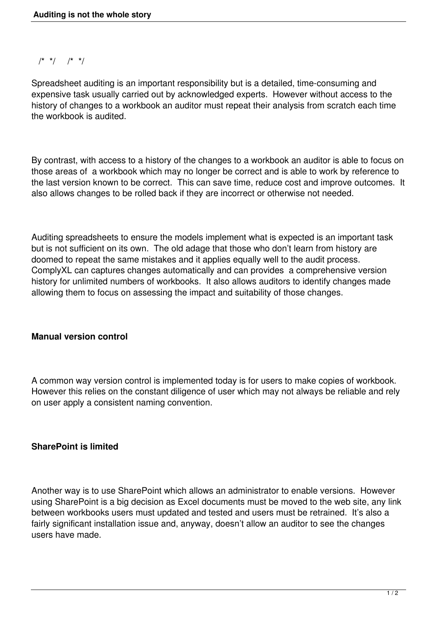$/* * / * / * * /$ 

Spreadsheet auditing is an important responsibility but is a detailed, time-consuming and expensive task usually carried out by acknowledged experts. However without access to the history of changes to a workbook an auditor must repeat their analysis from scratch each time the workbook is audited.

By contrast, with access to a history of the changes to a workbook an auditor is able to focus on those areas of a workbook which may no longer be correct and is able to work by reference to the last version known to be correct. This can save time, reduce cost and improve outcomes. It also allows changes to be rolled back if they are incorrect or otherwise not needed.

Auditing spreadsheets to ensure the models implement what is expected is an important task but is not sufficient on its own. The old adage that those who don't learn from history are doomed to repeat the same mistakes and it applies equally well to the audit process. ComplyXL can captures changes automatically and can provides a comprehensive version history for unlimited numbers of workbooks. It also allows auditors to identify changes made allowing them to focus on assessing the impact and suitability of those changes.

## **Manual version control**

A common way version control is implemented today is for users to make copies of workbook. However this relies on the constant diligence of user which may not always be reliable and rely on user apply a consistent naming convention.

## **SharePoint is limited**

Another way is to use SharePoint which allows an administrator to enable versions. However using SharePoint is a big decision as Excel documents must be moved to the web site, any link between workbooks users must updated and tested and users must be retrained. It's also a fairly significant installation issue and, anyway, doesn't allow an auditor to see the changes users have made.